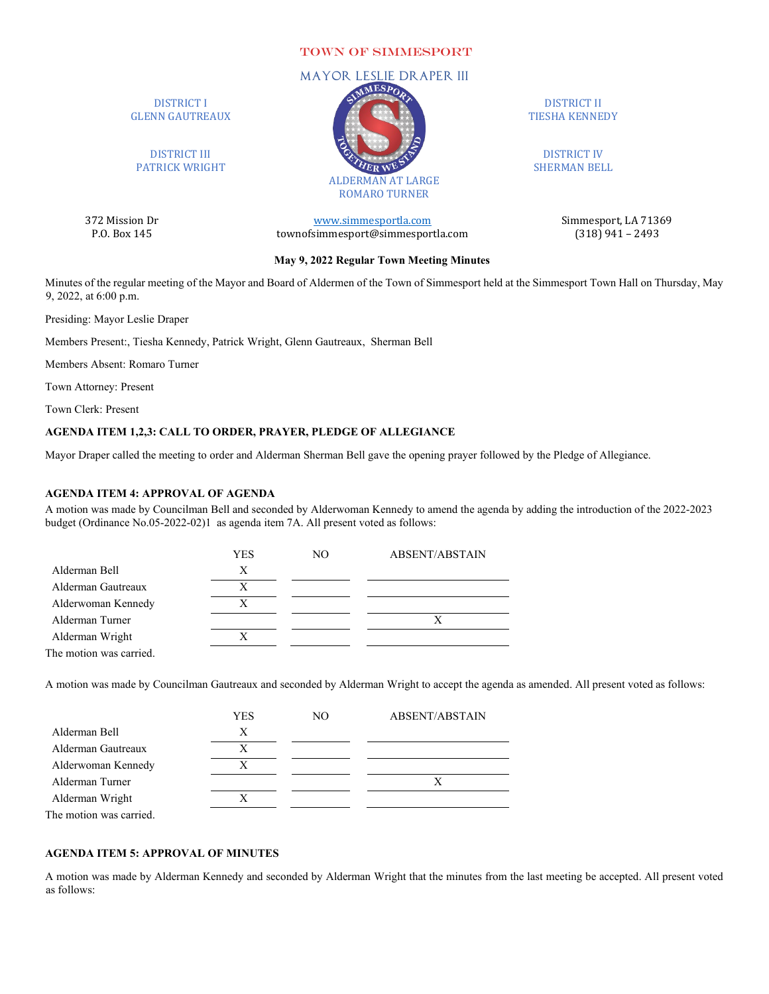### TOWN OF SIMMESPORT

# DISTRICT I GLENN GAUTREAUX

DISTRICT III PATRICK WRIGHT

372 Mission Dr [www.simmesportla.com](http://www.simmesportla.com/) Simmesport, LA 71369<br>P.O. Box 145 (318) 941 – 2493 townofsimmesport@simmesportla.com

DISTRICT II TIESHA KENNEDY

DISTRICT IV SHERMAN BELL

#### **May 9, 2022 Regular Town Meeting Minutes**

Minutes of the regular meeting of the Mayor and Board of Aldermen of the Town of Simmesport held at the Simmesport Town Hall on Thursday, May 9, 2022, at 6:00 p.m.

Presiding: Mayor Leslie Draper

Members Present:, Tiesha Kennedy, Patrick Wright, Glenn Gautreaux, Sherman Bell

Members Absent: Romaro Turner

Town Attorney: Present

Town Clerk: Present

## **AGENDA ITEM 1,2,3: CALL TO ORDER, PRAYER, PLEDGE OF ALLEGIANCE**

Mayor Draper called the meeting to order and Alderman Sherman Bell gave the opening prayer followed by the Pledge of Allegiance.

## **AGENDA ITEM 4: APPROVAL OF AGENDA**

A motion was made by Councilman Bell and seconded by Alderwoman Kennedy to amend the agenda by adding the introduction of the 2022-2023 budget (Ordinance No.05-2022-02)1 as agenda item 7A. All present voted as follows:

|                         | YES | NO. | ABSENT/ABSTAIN |
|-------------------------|-----|-----|----------------|
| Alderman Bell           | Х   |     |                |
| Alderman Gautreaux      | Х   |     |                |
| Alderwoman Kennedy      | X   |     |                |
| Alderman Turner         |     |     |                |
| Alderman Wright         | X   |     |                |
| The motion was carried. |     |     |                |

A motion was made by Councilman Gautreaux and seconded by Alderman Wright to accept the agenda as amended. All present voted as follows:

|                         | YES | NO. | ABSENT/ABSTAIN |
|-------------------------|-----|-----|----------------|
| Alderman Bell           | X   |     |                |
| Alderman Gautreaux      | X   |     |                |
| Alderwoman Kennedy      | Х   |     |                |
| Alderman Turner         |     |     |                |
| Alderman Wright         |     |     |                |
| The motion was carried. |     |     |                |

#### **AGENDA ITEM 5: APPROVAL OF MINUTES**

A motion was made by Alderman Kennedy and seconded by Alderman Wright that the minutes from the last meeting be accepted. All present voted as follows:

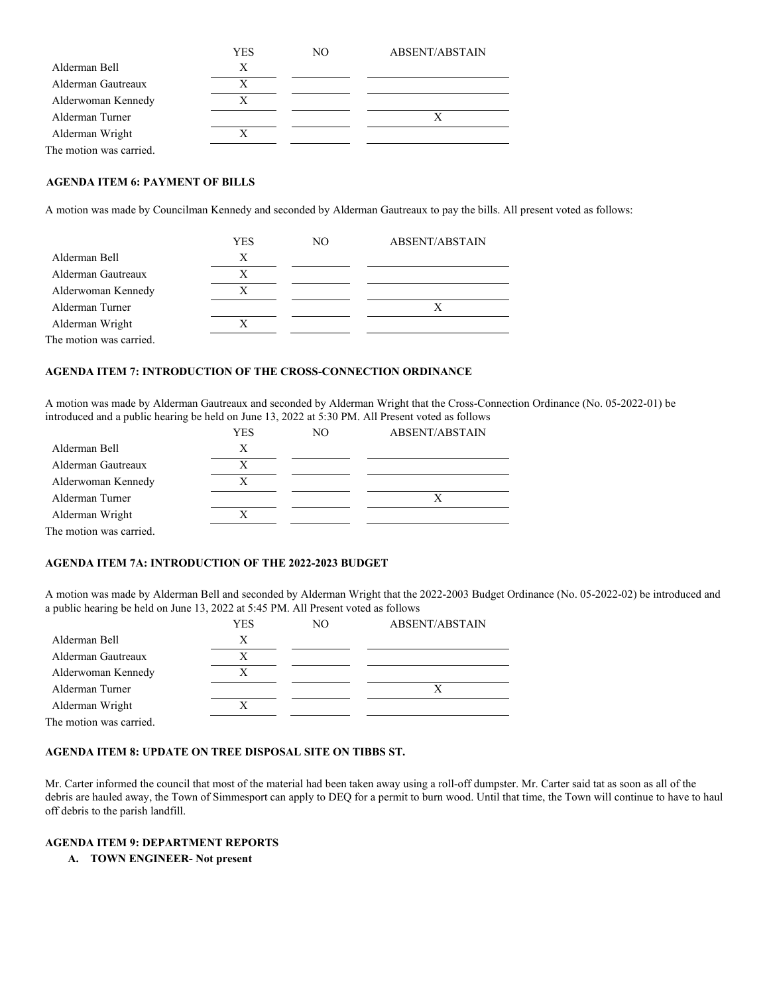|                         | YES | NO | ABSENT/ABSTAIN |
|-------------------------|-----|----|----------------|
| Alderman Bell           | X   |    |                |
| Alderman Gautreaux      | X   |    |                |
| Alderwoman Kennedy      |     |    |                |
| Alderman Turner         |     |    |                |
| Alderman Wright         |     |    |                |
| The motion was carried. |     |    |                |

### **AGENDA ITEM 6: PAYMENT OF BILLS**

A motion was made by Councilman Kennedy and seconded by Alderman Gautreaux to pay the bills. All present voted as follows:

|                         | YES | NO. | ABSENT/ABSTAIN |
|-------------------------|-----|-----|----------------|
| Alderman Bell           | X   |     |                |
| Alderman Gautreaux      | X   |     |                |
| Alderwoman Kennedy      |     |     |                |
| Alderman Turner         |     |     |                |
| Alderman Wright         |     |     |                |
| The motion was carried. |     |     |                |

## **AGENDA ITEM 7: INTRODUCTION OF THE CROSS-CONNECTION ORDINANCE**

A motion was made by Alderman Gautreaux and seconded by Alderman Wright that the Cross-Connection Ordinance (No. 05-2022-01) be introduced and a public hearing be held on June 13, 2022 at 5:30 PM. All Present voted as follows

|                         | YES | NO. | ABSENT/ABSTAIN |
|-------------------------|-----|-----|----------------|
| Alderman Bell           | X   |     |                |
| Alderman Gautreaux      | Х   |     |                |
| Alderwoman Kennedy      |     |     |                |
| Alderman Turner         |     |     |                |
| Alderman Wright         |     |     |                |
| The motion was carried. |     |     |                |

#### **AGENDA ITEM 7A: INTRODUCTION OF THE 2022-2023 BUDGET**

A motion was made by Alderman Bell and seconded by Alderman Wright that the 2022-2003 Budget Ordinance (No. 05-2022-02) be introduced and a public hearing be held on June 13, 2022 at 5:45 PM. All Present voted as follows

|                         | YES | NO. | <b>ABSENT/ABSTAIN</b> |
|-------------------------|-----|-----|-----------------------|
| Alderman Bell           | X   |     |                       |
| Alderman Gautreaux      | Х   |     |                       |
| Alderwoman Kennedy      |     |     |                       |
| Alderman Turner         |     |     |                       |
| Alderman Wright         |     |     |                       |
| The motion was carried. |     |     |                       |

## **AGENDA ITEM 8: UPDATE ON TREE DISPOSAL SITE ON TIBBS ST.**

Mr. Carter informed the council that most of the material had been taken away using a roll-off dumpster. Mr. Carter said tat as soon as all of the debris are hauled away, the Town of Simmesport can apply to DEQ for a permit to burn wood. Until that time, the Town will continue to have to haul off debris to the parish landfill.

## **AGENDA ITEM 9: DEPARTMENT REPORTS**

**A. TOWN ENGINEER- Not present**